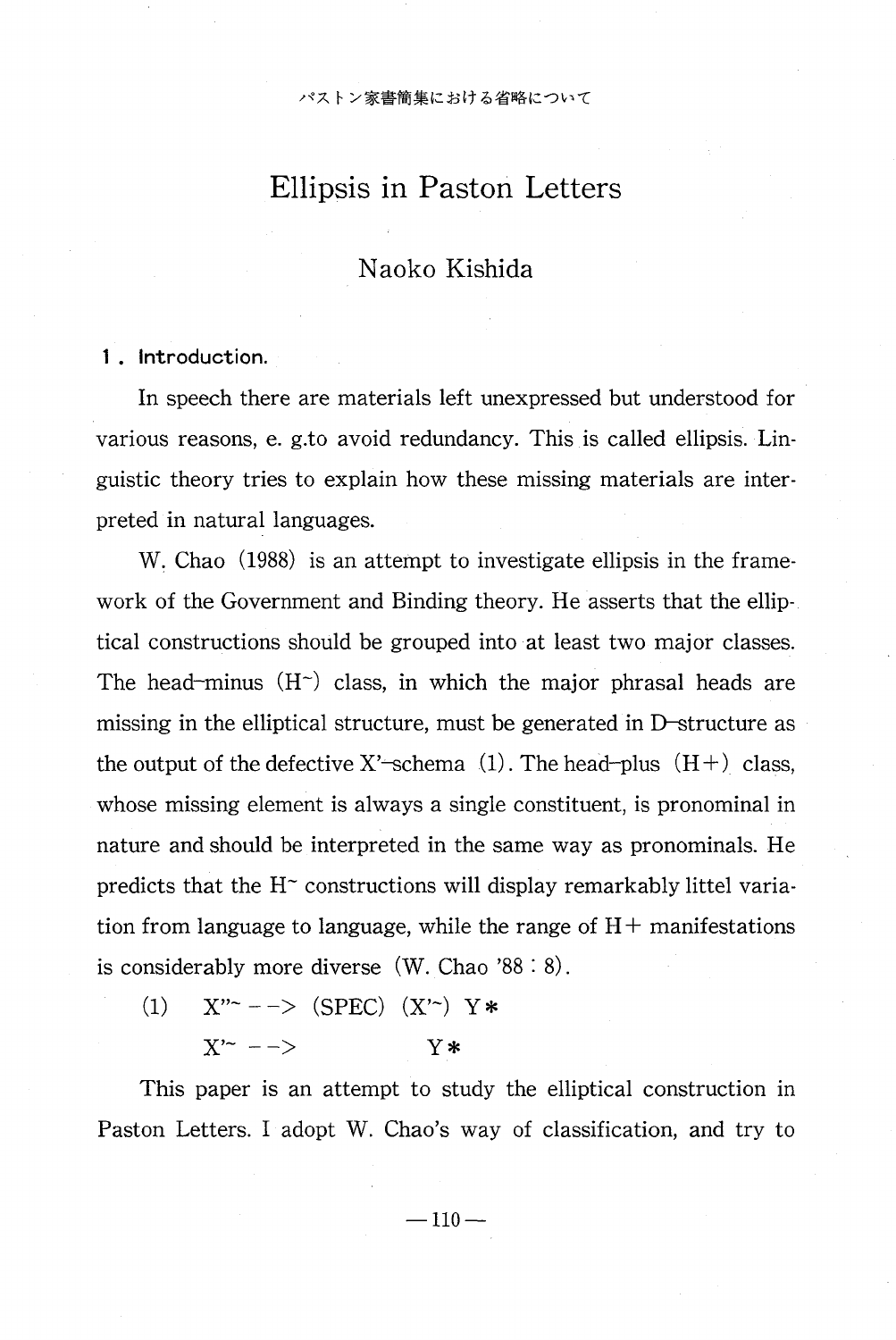パストン家書簡集における省略について

# Ellipsis in Paston Letters

## Naoko Kishida

1 . Introduction.

 In speech there are materials left unexpressed but understood for various reasons, e. g.to avoid redundancy. This is called ellipsis. Linguistic theory tries to explain how these missing materials are interpreted in natural languages.

W. Chao (1988) is an attempt to investigate ellipsis in the framework of the Government and Binding theory. He asserts that the elliptical constructions should be grouped into at least two major classes. The head-minus  $(H<sup>2</sup>)$  class, in which the major phrasal heads are missing in the elliptical structure, must be generated in D-structure as the output of the defective X'-schema  $(1)$ . The head-plus  $(H+)$  class, whose missing element is always a single constituent, is pronominal in nature and should be interpreted in the same way as pronominals. He predicts that the  $H<sup>2</sup>$  constructions will display remarkably littel variation from language to language, while the range of  $H<sup>+</sup>$  manifestations is considerably more diverse (W. Chao '88 : 8).

(1)  $X''^{-}$  - -> (SPEC)  $(X'')$   $Y$ \*  $X'^-$  -  $>$  Y\*

This paper is an attempt to study the elliptical construction in Paston Letters. I adopt W. Chao's way of classification, and try to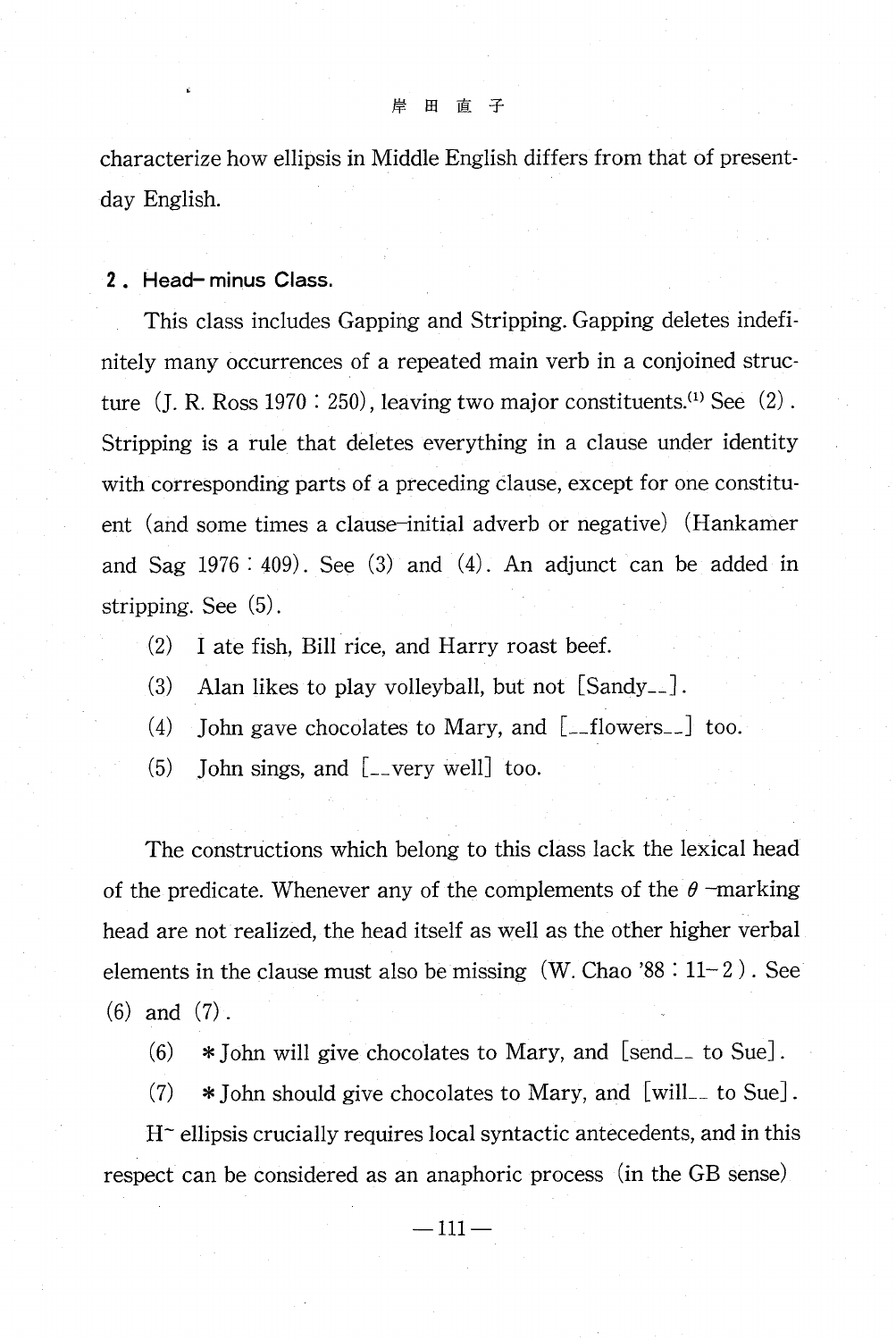characterize how ellipsis in Middle English differs from that of presentday English.

2 . Head- minus Class.

This class includes Gapping and Stripping. Gapping deletes indefinitely many occurrences of a repeated main verb in a conjoined structure  $(J. R. Ross 1970 : 250)$ , leaving two major constituents.<sup>(1)</sup> See  $(2)$ . Stripping is a rule that deletes everything in a clause under identity with corresponding parts of a preceding clause, except for one constituent (and some times a clause-initial adverb or negative) (Hankamer and Sag  $1976 : 409$ . See  $(3)$  and  $(4)$ . An adjunct can be added in stripping. See (5) .

- (2) I ate fish, Bill rice, and Harry roast beef.
- (3) Alan likes to play volleyball, but not [Sandy\_\_] .
- (4) John gave chocolates to Mary, and  $[$ -flowers<sub>--</sub> $]$  too.
- (5) John sings, and [\_\_very well] too.

The constructions which belong to this class lack the lexical head of the predicate. Whenever any of the complements of the  $\theta$ -marking head are not realized, the head itself as well as the other higher verbal elements in the clause must also be missing (W. Chao '88 : 11- 2 ) . See (6) and (7) .

- $(6)$  \* John will give chocolates to Mary, and [send<sub>-</sub> to Sue].
- $(7)$  \* John should give chocolates to Mary, and [will\_ to Sue].

 $H<sup>–</sup>$  ellipsis crucially requires local syntactic antecedents, and in this respect can be considered as an anaphoric process (in the GB sense)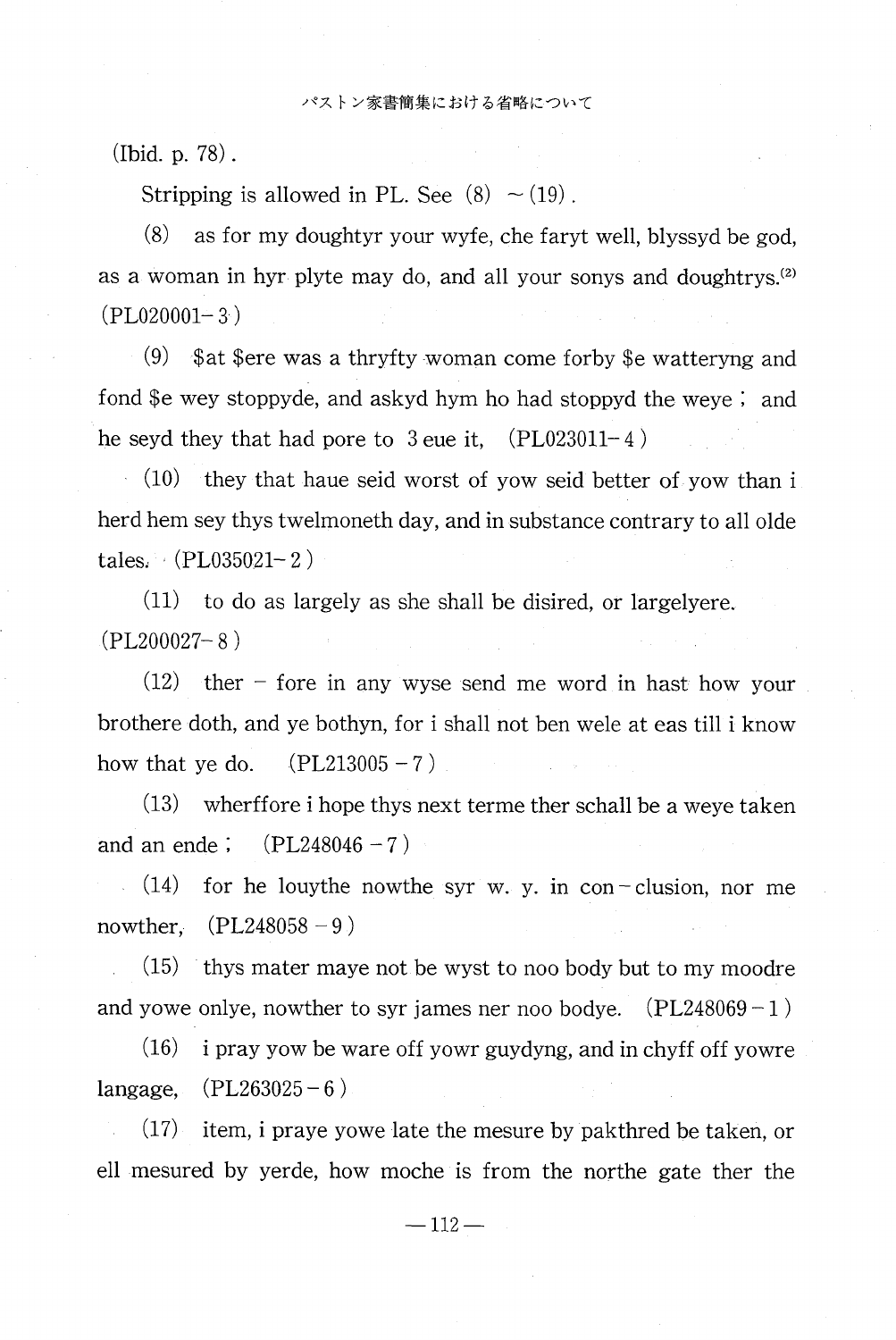(Ibid. p. 78) .

Stripping is allowed in PL. See  $(8) \sim (19)$ .

 $(8)$  as for my doughtyr your wyfe, che faryt well, blyssyd be god, as a woman in hyr plyte may do, and all your sonys and doughtrys.<sup>(2)</sup> (PL020001— 3)

 (9) \$at \$ere was a thryfty woman come forby \$e watteryng and fond \$e wey stoppyde, and askyd hym ho had stoppyd the weye ; and he seyd they that had pore to  $3$  eue it,  $(PL023011-4)$ 

(10) they that haue seid worst of yow seid better of yow than i herd hem sey thys twelmoneth day, and in substance contrary to all olde tales: (PL035021— 2)

(11) to do as largely as she shall be disired, or largelyere. (PL200027— 8)

 (12) ther — fore in any wyse send me word in hast how your brothere doth, and ye bothyn, for i shall not ben wele at eas till i know how that ye do.  $(PL213005 - 7)$ 

(13) wherffore i hope thys next terme ther schall be a weye taken and an ende ;  $(PL248046 - 7)$ 

 $(14)$  for he louythe nowthe syr w. y. in con-clusion, nor me nowther,  $(PL248058 - 9)$ 

(15) thys mater maye not be wyst to noo body but to my moodre and yowe onlye, nowther to syr james ner noo bodye.  $(PL248069-1)$ 

(16) i pray yow be ware off yowr guydyng, and in chyff off yowre langage,  $(PL263025 - 6)$ 

(17) item, i praye yowe late the mesure by pakthred be taken, or ell mesured by yerde, how moche is from the northe gate ther the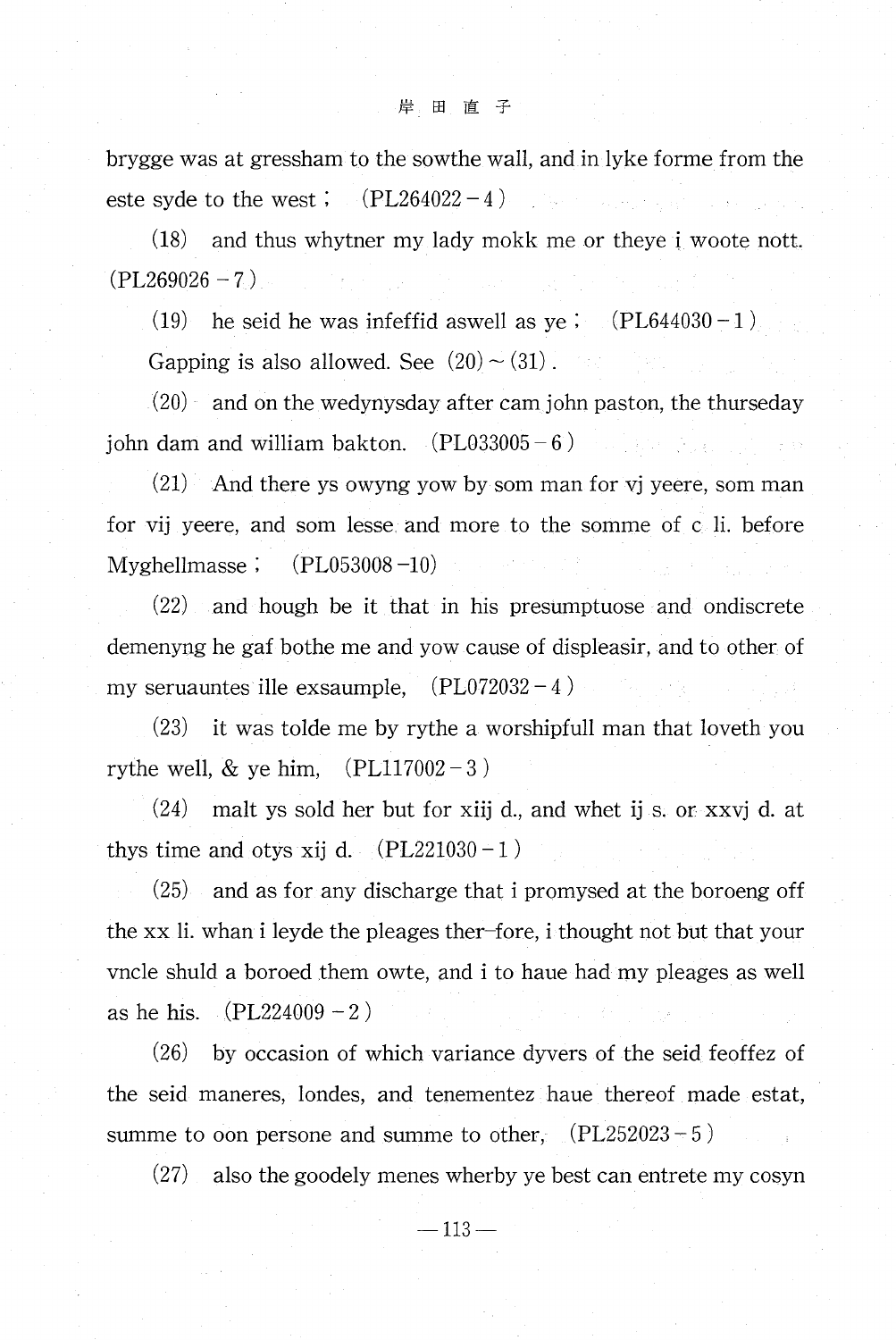brygge was at gressham to the sowthe wall, and in lyke forme from the este syde to the west ;  $(PL264022 - 4)$ 

(18) and thus whytner my lady mokk me or theye i woote nott.  $(PL269026 - 7)$ 

(19) he seid he was infeffid aswell as ye ;  $(PL644030 - 1)$ 

Gapping is also allowed. See  $(20) \sim (31)$ .

(20) and on the wedynysday after cam john paston, the thurseday john dam and william bakton.  $(PL033005-6)$ A BAR BELLANDER

 $(21)$  And there ys owyng yow by som man for vj yeere, som man for vij yeere, and som lesse and more to the somme of c li. before Myghellmasse ;  $(PL053008 - 10)$ 

(22) and hough be it that in his presumptuose and ondiscrete demenyng he gaf bothe me and yow cause of displeasir, and to other of my seruauntes ille exsaumple,  $(PL072032 - 4)$ 

(23) it was tolde me by rythe a worshipful' man that loveth you rythe well,  $&$  ye him,  $(PL117002-3)$ 

(24) malt ys sold her but for xiij d., and whet ij s. or xxvj d. at thys time and otys xij d.  $(PL221030-1)$ 

(25) and as for any discharge that i promysed at the boroeng off the xx li. whan i leyde the pleages ther—fore, i thought not but that your vncle shuld a boroed them owte, and i to haue had my pleages as well as he his.  $(PL224009 - 2)$ 

(26) by occasion of which variance dyvers of the seid feoffez of the seid maneres, londes, and tenementez haue thereof made estat, summe to oon persone and summe to other,  $(PL252023 - 5)$ 

(27) also the goodely menes wherby ye best can entrete my cosyn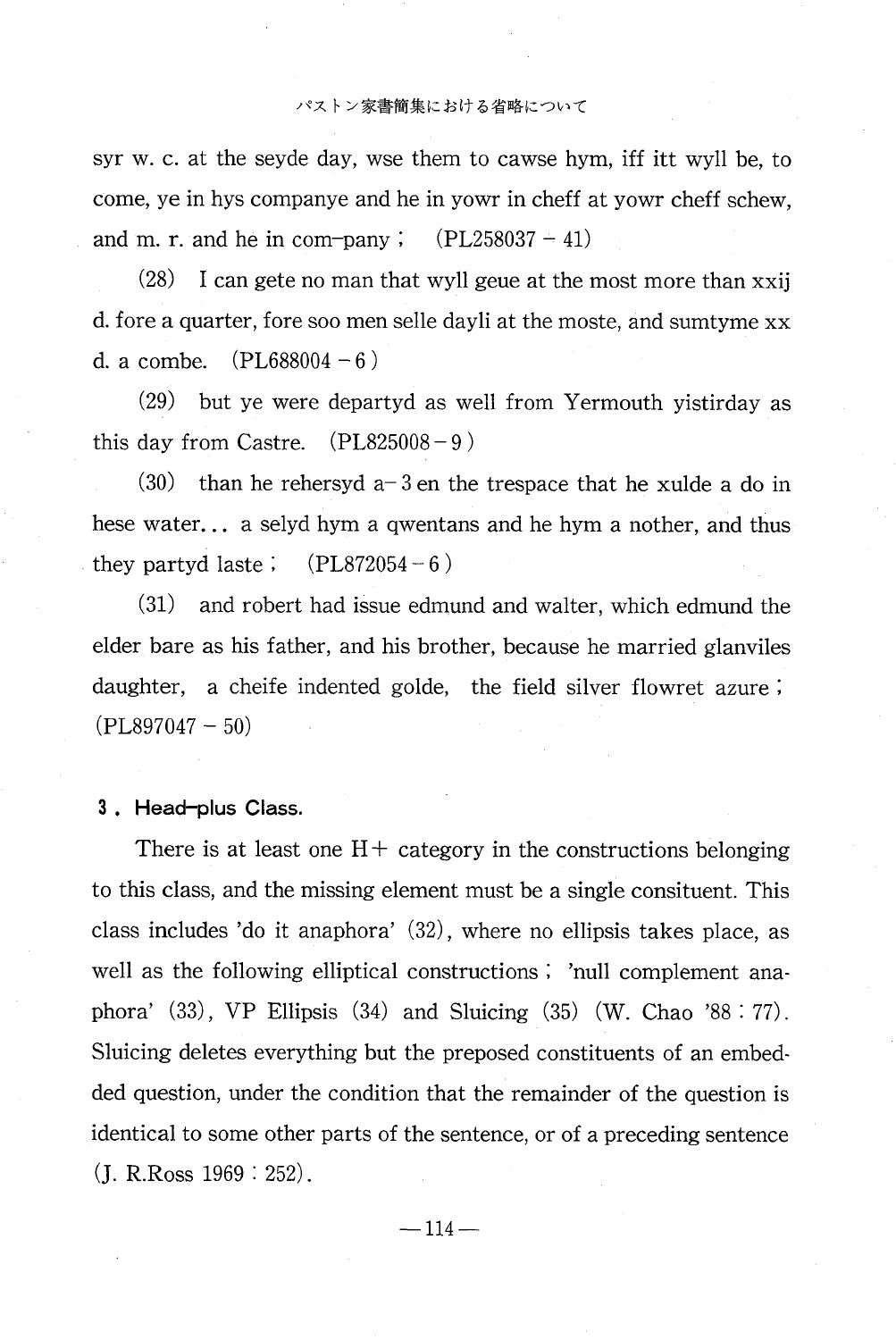syr w. c. at the seyde day, wse them to cawse hym, iff itt wyll be, to come, ye in hys companye and he in yowr in cheff at yowr cheff schew. and m. r. and he in com-pany  $\mathfrak{c}$ .  $(PL258037 - 41)$ 

 $(28)$ I can gete no man that wyll geue at the most more than xxij d. fore a quarter, fore soo men selle dayli at the moste, and sumtyme xx d. a combe.  $(PL688004 - 6)$ 

 $(29)$ but ye were departyd as well from Yermouth yistirday as  $(PL825008 - 9)$ this day from Castre.

than he rehersyd  $a-3$  en the trespace that he xulde a do in  $(30)$ hese water... a selyd hym a qwentans and he hym a nother, and thus they partyd laste;  $(PL872054-6)$ 

 $(31)$ and robert had issue edmund and walter, which edmund the elder bare as his father, and his brother, because he married glanviles daughter, a cheife indented golde, the field silver flowret azure;  $(PL897047-50)$ 

## 3. Head-plus Class.

There is at least one  $H<sup>+</sup>$  category in the constructions belonging to this class, and the missing element must be a single consituent. This class includes 'do it anaphora' (32), where no ellipsis takes place, as well as the following elliptical constructions; 'null complement anaphora'  $(33)$ , VP Ellipsis  $(34)$  and Sluicing  $(35)$  (W. Chao '88 : 77). Sluicing deletes everything but the preposed constituents of an embedded question, under the condition that the remainder of the question is identical to some other parts of the sentence, or of a preceding sentence  $(J. R.R.$  Ross  $1969 : 252)$ .

 $-114-$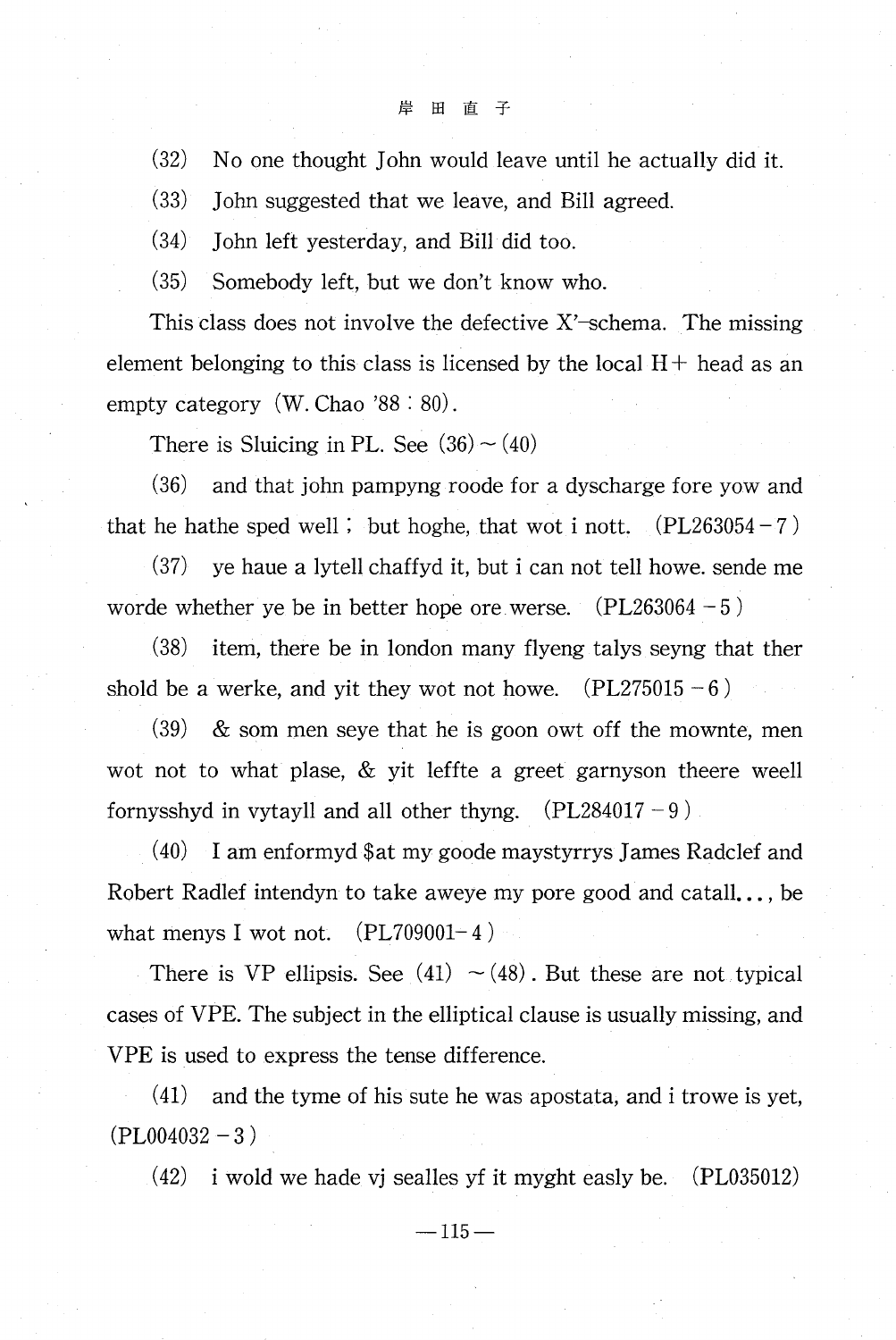(32) No one thought John would leave until he actually did it.

(33) John suggested that we leave, and Bill agreed.

(34) John left yesterday, and Bill did too.

(35) Somebody left, but we don't know who.

This class does not involve the defective X'—schema. The missing element belonging to this class is licensed by the local  $H +$  head as an empty category (W. Chao '88 : 80).

There is Sluicing in PL. See  $(36) \sim (40)$ 

(36) and that john pampyng roode for a dyscharge fore yow and that he hathe sped well ; but hoghe, that wot i nott.  $(PL263054 - 7)$ 

(37) ye haue a lytell chaffyd it, but i can not tell howe. sende me worde whether ye be in better hope ore werse.  $(PL263064 - 5)$ 

(38) item, there be in london many flyeng talys seyng that ther shold be a werke, and yit they wot not howe.  $(PL275015 - 6)$ 

 $(39)$  & som men seye that he is goon owt off the mownte, men wot not to what plase, & yit leffte a greet garnyson theere weell fornysshyd in vytayll and all other thyng.  $(PL284017 - 9)$ .

(40) I am enformyd \$at my goode maystyrrys James Radclef and Robert Radlef intendyn to take aweye my pore good and catall... , be what menys I wot not.  $(PL709001-4)$ 

There is VP ellipsis. See (41)  $\sim$  (48). But these are not typical cases of VPE. The subject in the elliptical clause is usually missing, and VPE is used to express the tense difference.

(41) and the tyme of his sute he was apostata, and i trowe is yet,  $(PL004032 - 3)$ 

(42) i wold we hade vj sealles yf it myght easly be. (PL035012)

 $-115-$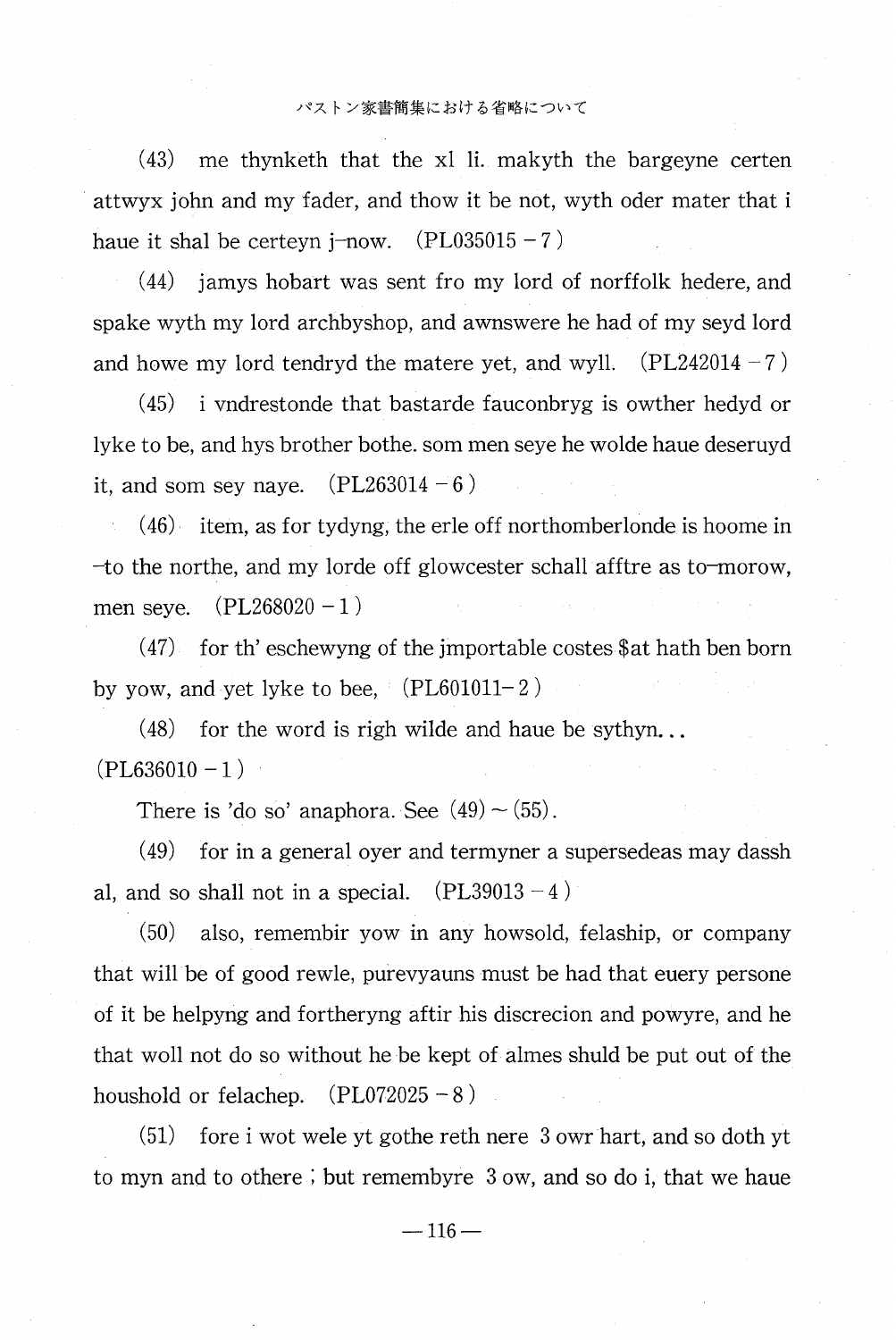## パストン家書簡集における省略について

 $(43)$ me thynketh that the xl li. makyth the bargeyne certen attwyx john and my fader, and thow it be not, wyth oder mater that i haue it shal be certeyn j-now.  $(PL035015 - 7)$ 

 $(44)$ jamys hobart was sent fro my lord of norffolk hedere, and spake wyth my lord archbyshop, and awnswere he had of my seyd lord and howe my lord tendryd the matere yet, and wyll.  $(PL242014 - 7)$ 

 $(45)$ i vndrestonde that bastarde fauconbryg is owther hedyd or lyke to be, and hys brother bothe. som men seye he wolde haue deseruyd it, and som sey naye.  $(PL263014 - 6)$ 

 $(46)$  item, as for tydyng, the erle off northomberlonde is hoome in -to the northe, and my lorde off glowcester schall afftre as to-morow,  $(PL268020 - 1)$ men seve.

for th' eschewyng of the importable costes \$ at hath ben born  $(47)$ by yow, and yet lyke to bee,  $\lq$  (PL601011–2  $\rgq$ 

 $(48)$ for the word is righ wilde and haue be sythyn...  $(PL636010 - 1)$ 

There is 'do so' anaphora. See  $(49) \sim (55)$ .

 $(49)$ for in a general over and termyner a supersedeas may dassh al, and so shall not in a special.  $(PL39013 - 4)$ 

 $(50)$ also, remembir yow in any howsold, felaship, or company that will be of good rewle, purevyauns must be had that euery persone of it be helpyng and fortheryng aftir his discrecion and powyre, and he that woll not do so without he be kept of almes shuld be put out of the houshold or felachep.  $(PL072025 - 8)$ 

 $(51)$ fore i wot wele yt gothe reth nere 3 own hart, and so doth yt to myn and to othere; but remembyre 3 ow, and so do i, that we haue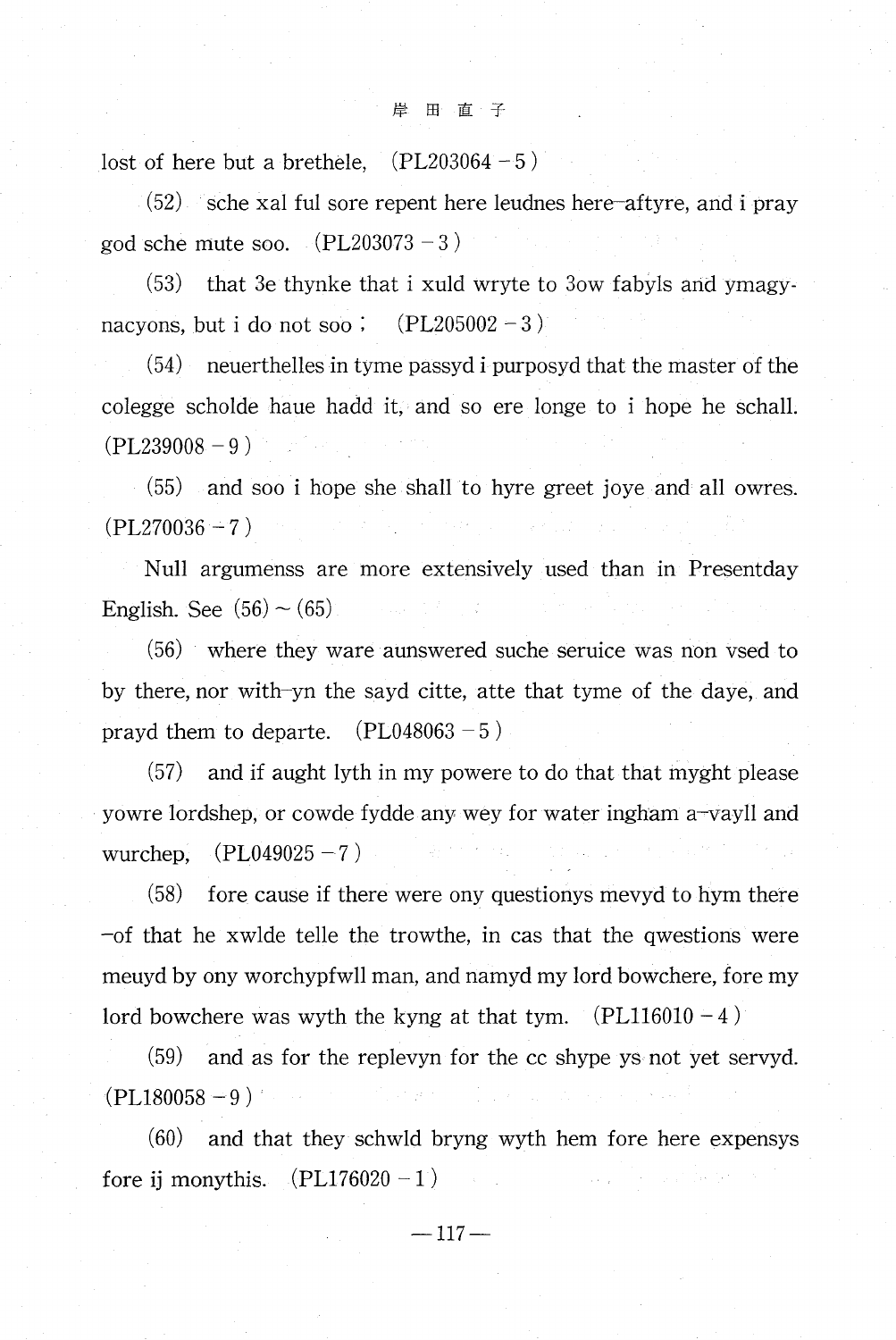lost of here but a brethele,  $(PL203064 - 5)$ 

(52) sche xal ful sore repent here leudnes here—aftyre, and i pray god sche mute soo.  $(PL203073-3)$ 

(53) that 3e thynke that i xuld wryte to 3ow fabyls and ymagynacyons, but i do not soo ;  $(PL205002 - 3)$ 

(54) neuerthelles in tyme passyd i purposyd that the master of the colegge scholde haue hadd it, and so ere longe to i hope he schall.  $(PL239008 - 9)$ 

(55) and soo i hope she shall to hyre greet joye and all owres.  $(PL270036 - 7)$ 

Null argumenss are more extensively used than in Presentday English. See  $(56) \sim (65)$ 

(56) where they ware aunswered suche seruice was non vsed to by there, nor with—yn the sayd citte, atte that tyme of the daye, and prayd them to departe.  $(PL048063 - 5)$ 

(57) and if aught lyth in my powere to do that that myght please yowre lordshep, or cowde fydde any wey for water ingham a—vayll and wurchep,  $(PL049025 - 7)$ 

(58) fore cause if there were ony questionys mevyd to hym there  $-$ of that he xwlde telle the trowthe, in cas that the qwestions were meuyd by ony worchypfwll man, and namyd my lord bowchere, fore my lord bowchere was wyth the kyng at that tym.  $(PL116010 - 4)$ 

(59) and as for the replevyn for the cc shype ys not yet servyd.  $(PL180058 - 9)$ 

(60) and that they schwld bryng wyth hem fore here expensys fore ij monythis.  $(PL176020 - 1)$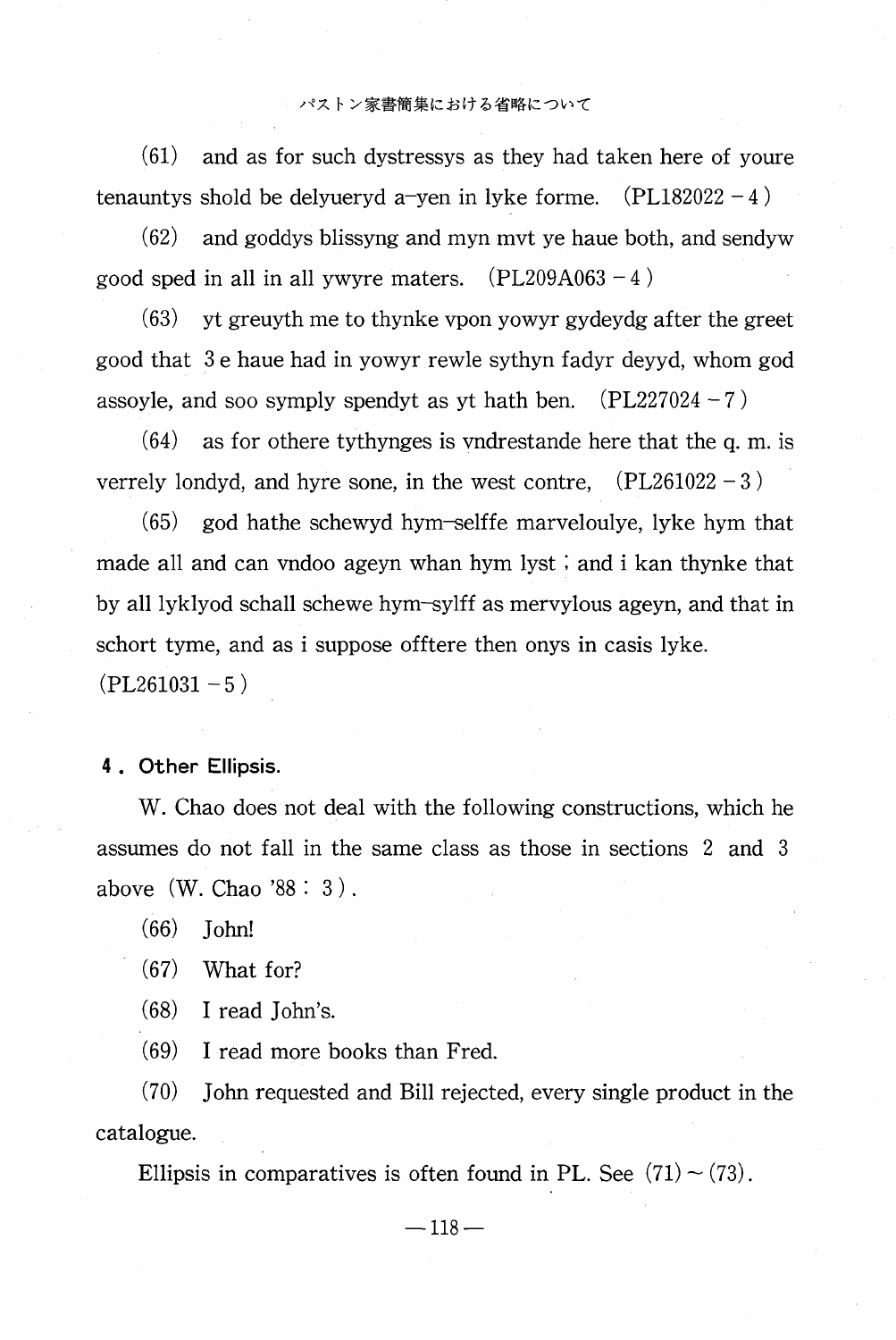(61) and as for such dystressys as they had taken here of youre tenauntys shold be delyueryd a-yen in lyke forme.  $(PL182022 - 4)$ 

(62) and goddys blissyng and myn mvt ye haue both, and sendyw good sped in all in all ywyre maters.  $(PL209A063 - 4)$ 

(63) yt greuyth me to thynke vpon yowyr gydeydg after the greet good that 3 e haue had in yowyr rewle sythyn fadyr deyyd, whom god assoyle, and soo symply spendyt as yt hath ben.  $(PL227024 - 7)$ 

(64) as for othere tythynges is vndrestande here that the q. m. is verrely londyd, and hyre sone, in the west contre,  $(PL261022 - 3)$ 

(65) god hathe schewyd hym—selffe marveloulye, lyke hym that made all and can vndoo ageyn whan hym lyst ; and i kan thynke that by all lyklyod schall schewe hym—sylff as mervylous ageyn, and that in schort tyme, and as i suppose offtere then onys in casis lyke.  $(PL261031 - 5)$ 

## 4 . Other Ellipsis.

 W. Chao does not deal with the following constructions, which he assumes do not fall in the same class as those in sections 2 and 3 above (W. Chao '88 : 3 ) .

(66) John!

(67) What for?

(68) I read John's.

(69) I read more books than Fred.

(70) John requested and Bill rejected, every single product in the catalogue.

Ellipsis in comparatives is often found in PL. See  $(71) \sim (73)$ .

 $-118-$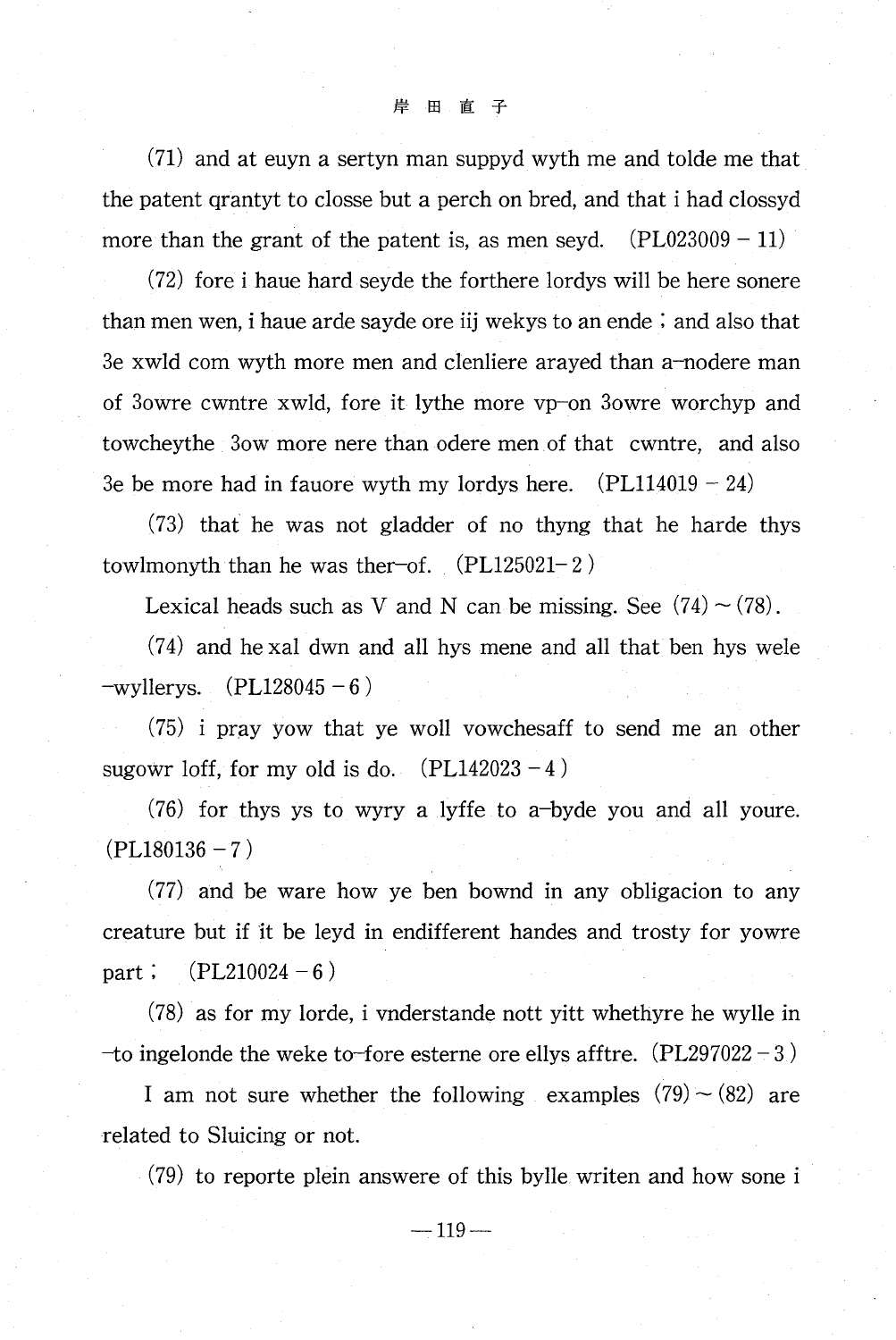$(71)$  and at euyn a sertyn man suppyd wyth me and tolde me that the patent grantyt to closse but a perch on bred, and that i had clossyd more than the grant of the patent is, as men seyd.  $(PL023009 - 11)$ 

(72) fore i haue hard seyde the forthere lordys will be here sonere than men wen, i haue arde sayde ore iij wekys to an ende  $\lambda$  and also that 3e xwld com wyth more men and clenliere arayed than a-nodere man of 3owre cwntre xwld, fore it lythe more vp-on 3owre worchyp and towchey the 30w more nere than odere men of that cwntre, and also 3e be more had in fauore wyth my lordys here.  $(PL114019 - 24)$ 

(73) that he was not gladder of no thyng that he harde thys towlmonyth than he was the roof.  $(PL125021-2)$ 

Lexical heads such as V and N can be missing. See  $(74) \sim (78)$ .

(74) and he xal dwn and all hys mene and all that ben hys wele  $-wy$ llerys. (PL128045 – 6)

 $(75)$  i pray yow that ye woll vowches aff to send me an other sugowr loff, for my old is do.  $(PL142023 - 4)$ 

 $(76)$  for thys ys to wyry a lyffe to a-byde you and all youre.  $(PL180136 - 7)$ 

 $(77)$  and be ware how ye ben bownd in any obligacion to any creature but if it be leyd in endifferent handes and trosty for yowre  $(PL210024 - 6)$ part;

(78) as for my lorde, i vnderstande nott yitt whethyre he wylle in -to ingelonde the weke to-fore esterne ore ellys afftre.  $(PL297022 - 3)$ 

I am not sure whether the following examples  $(79) \sim (82)$  are related to Sluicing or not.

(79) to reporte plein answere of this bylle writen and how sone i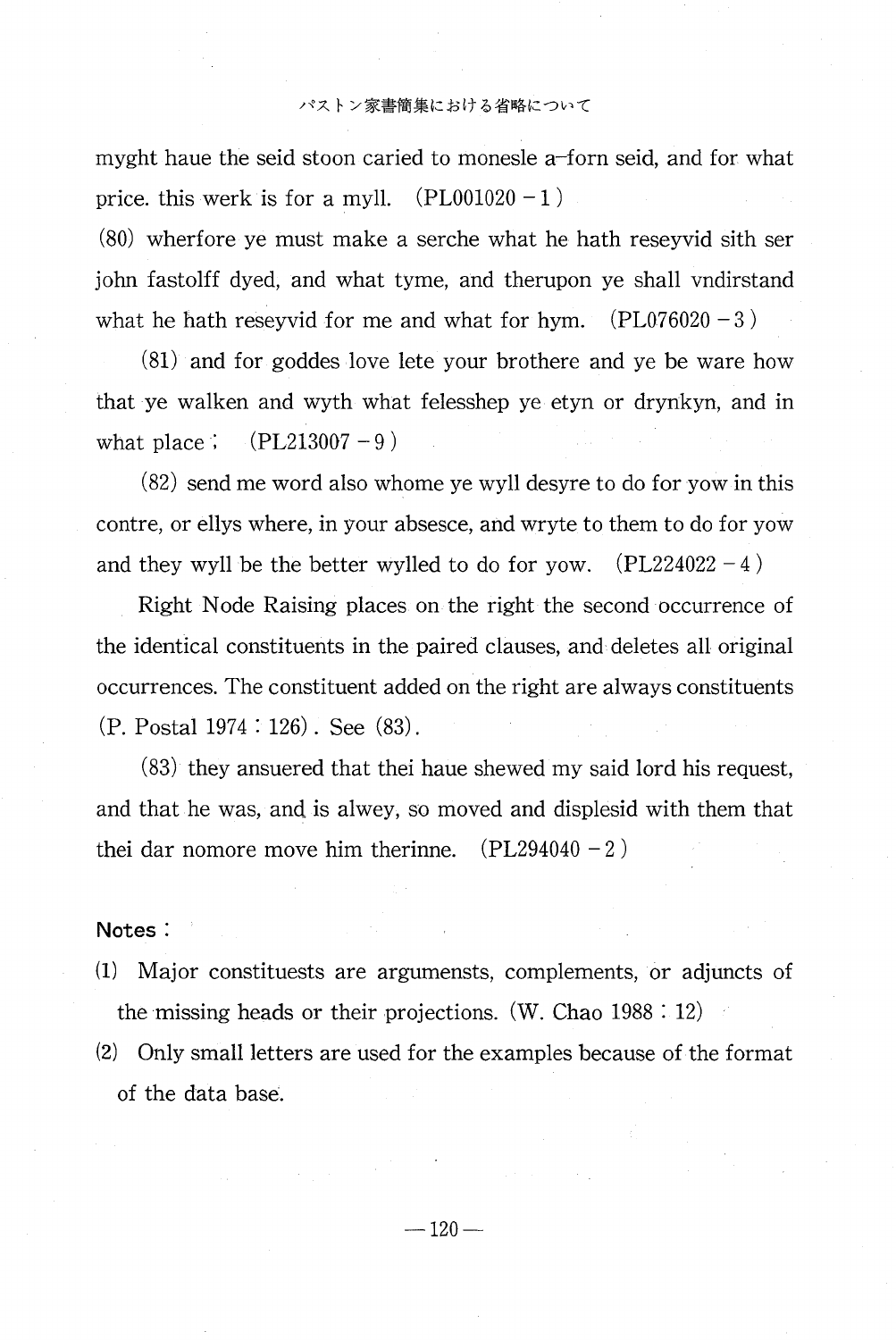#### パストン家書簡集における省略について

myght haue the seid stoon caried to monesle a—forn seid, and for what price. this werk is for a myll.  $(PL001020 - 1)$ 

(80) wherfore ye must make a serche what he hath reseyvid sith ser john fastolff dyed, and what tyme, and therupon ye shall vndirstand what he hath reseyvid for me and what for hym.  $(PL076020 - 3)$ 

(81) and for goddes love lete your brothere and ye be ware how that ye walken and wyth what felesshep ye etyn or drynkyn, and in what place ;  $(PL213007 - 9)$ 

(82) send me word also whome ye wyll desyre to do for yow in this contre, or ellys where, in your absesce, and wryte to them to do for yow and they wyll be the better wylled to do for yow.  $(PL224022 - 4)$ 

Right Node Raising places on the right the second occurrence of the identical constituents in the paired clauses, and deletes all original occurrences. The constituent added on the right are always constituents (P. Postal 1974 : 126) . See (83) .

(83) they ansuered that thei haue shewed my said lord his request, and that he was, and is alwey, so moved and displesid with them that thei dar nomore move him therinne.  $(PL294040 - 2)$ 

## Notes :

- (1) Major constituests are argumensts, complements, or adjuncts of the missing heads or their projections. (W. Chao 1988 : 12)
- (2) Only small letters are used for the examples because of the format of the data base.

 $-120-$